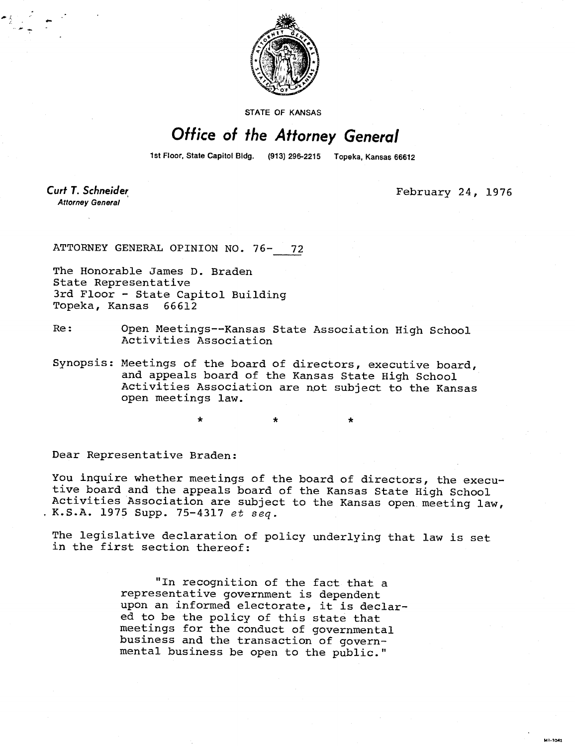

STATE OF KANSAS

## Office of the Attorney General

1st Floor, State Capitol Bldg.

(913) 296-2215 Topeka, Kansas 66612

Curt T. Schneider **Attorney General** 

February 24, 1976

**MIL1041** 

ATTORNEY GENERAL OPINION NO. 76- 72

The Honorable James D. Braden State Representative 3rd Floor - State Capitol Building Topeka, Kansas 66612

- Re: Open Meetings--Kansas State Association High School Activities Association
- Synopsis: Meetings of the board of directors, executive board, and appeals board of the Kansas State High School Activities Association are not subject to the Kansas open meetings law.

Dear Representative Braden:

You inquire whether meetings of the board of directors, the executive board and the appeals board of the Kansas State High School Activities Association are subject to the Kansas open meeting law, K.S.A. 1975 Supp. 75-4317 et seq.

\*

The legislative declaration of policy underlying that law is set in the first section thereof:

> "In recognition of the fact that a representative government is dependent upon an informed electorate, it is declared to be the policy of this state that meetings for the conduct of governmental business and the transaction of governmental business be open to the public."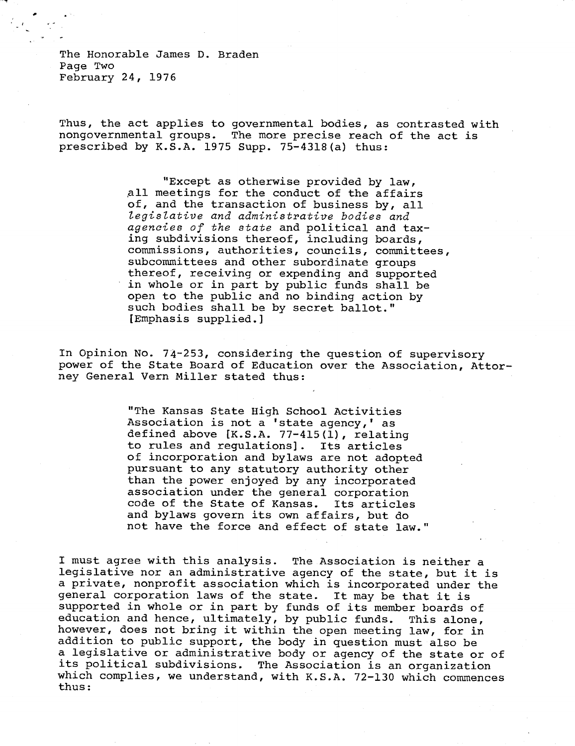The Honorable James D. Braden Page Two February 24, 1976

Thus, the act applies to governmental bodies, as contrasted with nongovernmental groups. The more precise reach of the act is prescribed by K.S.A. 1975 Supp. 75-4318(a) thus:

> "Except as otherwise provided by law, All meetings for the conduct of the affairs of, and the transaction of business by, all legislative and administrative bodies and agencies of the state and political and taxing subdivisions thereof, including boards, commissions, authorities, councils, committees, subcommittees and other subordinate groups thereof, receiving or expending and supported in whole or in part by public funds shall be open to the public and no binding action by such bodies shall be by secret ballot." [Emphasis supplied.]

In Opinion No. 74-253, considering the question of supervisory power of the State Board of Education over the Association, Attorney General Vern Miller stated thus:

> "The Kansas State High School Activities Association is not a 'state agency,' as defined above [K.S.A. 77-415(1), relating to rules and regulations]. Its articles of incorporation and bylaws are not adopted pursuant to any statutory authority other than the power enjoyed by any incorporated association under the general corporation code of the State of Kansas. Its articles and bylaws govern its own affairs, but do not have the force and effect of state law."

I must agree with this analysis. The. Association is neither a legislative nor an administrative agency of the state, but it is a private, nonprofit association which is incorporated under the general corporation laws of the state. It may be that it is supported in whole or in part by funds of its member boards of education and hence, ultimately, by public funds. This alone, however, does not bring it within the open meeting law, for in addition to public support, the body in question must also be a legislative or administrative body or agency of the state or of its political subdivisions. The Association is an organization which complies, we understand, with K.S.A. 72-130 which commences thus: